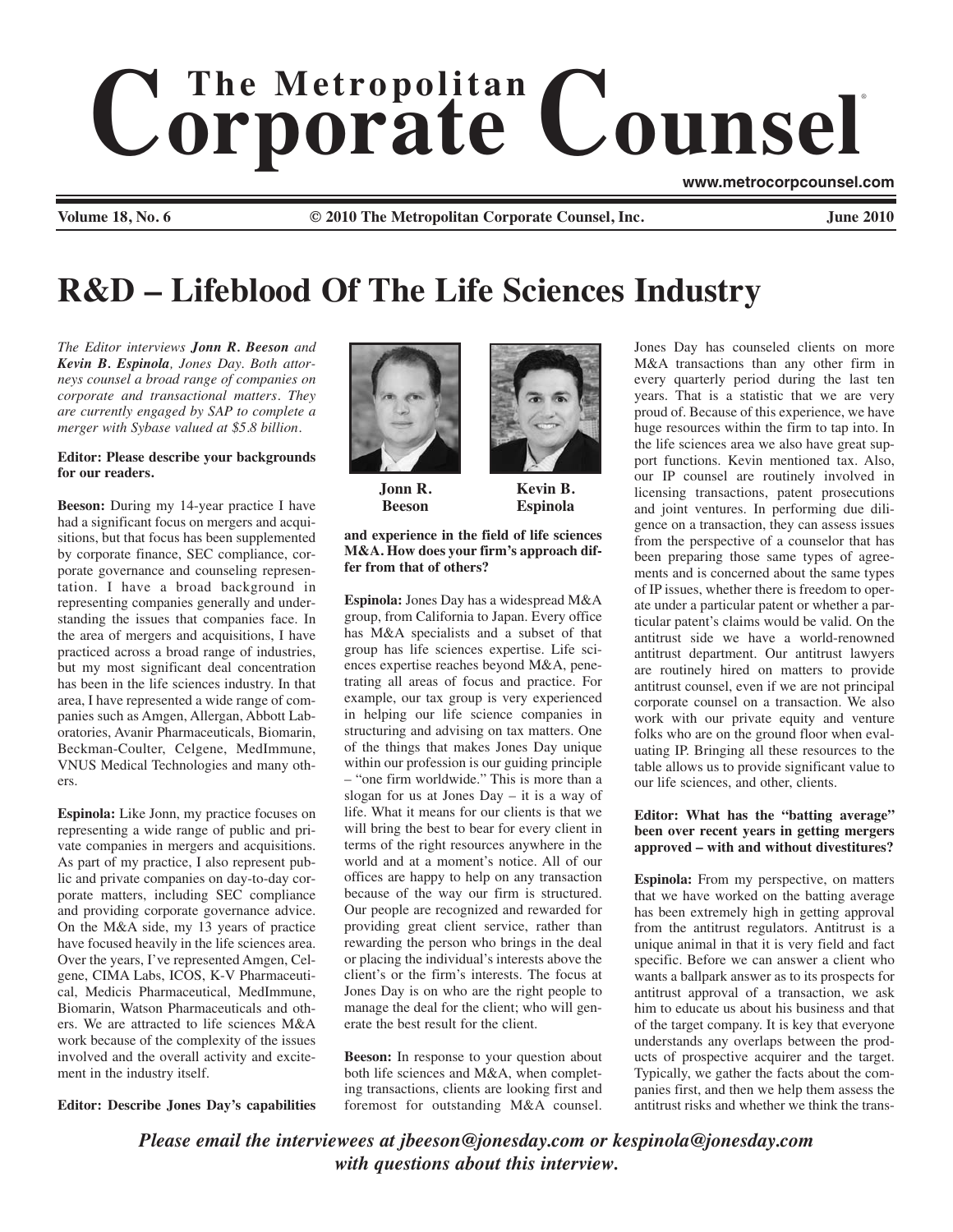# $$ ®

**www.metrocorpcounsel.com**

**Volume 18, No. 6 © 2010 The Metropolitan Corporate Counsel, Inc. June 2010**

# **R&D – Lifeblood Of The Life Sciences Industry**

*The Editor interviews Jonn R. Beeson and Kevin B. Espinola, Jones Day. Both attorneys counsel a broad range of companies on corporate and transactional matters. They are currently engaged by SAP to complete a merger with Sybase valued at \$5.8 billion.* 

## **Editor: Please describe your backgrounds for our readers.**

**Beeson:** During my 14-year practice I have had a significant focus on mergers and acquisitions, but that focus has been supplemented by corporate finance, SEC compliance, corporate governance and counseling representation. I have a broad background in representing companies generally and understanding the issues that companies face. In the area of mergers and acquisitions, I have practiced across a broad range of industries, but my most significant deal concentration has been in the life sciences industry. In that area, I have represented a wide range of companies such as Amgen, Allergan, Abbott Laboratories, Avanir Pharmaceuticals, Biomarin, Beckman-Coulter, Celgene, MedImmune, VNUS Medical Technologies and many others.

**Espinola:** Like Jonn, my practice focuses on representing a wide range of public and private companies in mergers and acquisitions. As part of my practice, I also represent public and private companies on day-to-day corporate matters, including SEC compliance and providing corporate governance advice. On the M&A side, my 13 years of practice have focused heavily in the life sciences area. Over the years, I've represented Amgen, Celgene, CIMA Labs, ICOS, K-V Pharmaceutical, Medicis Pharmaceutical, MedImmune, Biomarin, Watson Pharmaceuticals and others. We are attracted to life sciences M&A work because of the complexity of the issues involved and the overall activity and excitement in the industry itself.

**Editor: Describe Jones Day's capabilities**



**Jonn R. Beeson**



**Kevin B. Espinola**

#### **and experience in the field of life sciences M&A. How does your firm's approach differ from that of others?**

**Espinola:** Jones Day has a widespread M&A group, from California to Japan. Every office has M&A specialists and a subset of that group has life sciences expertise. Life sciences expertise reaches beyond M&A, penetrating all areas of focus and practice. For example, our tax group is very experienced in helping our life science companies in structuring and advising on tax matters. One of the things that makes Jones Day unique within our profession is our guiding principle – "one firm worldwide." This is more than a slogan for us at Jones Day – it is a way of life. What it means for our clients is that we will bring the best to bear for every client in terms of the right resources anywhere in the world and at a moment's notice. All of our offices are happy to help on any transaction because of the way our firm is structured. Our people are recognized and rewarded for providing great client service, rather than rewarding the person who brings in the deal or placing the individual's interests above the client's or the firm's interests. The focus at Jones Day is on who are the right people to manage the deal for the client; who will generate the best result for the client.

**Beeson:** In response to your question about both life sciences and M&A, when completing transactions, clients are looking first and foremost for outstanding M&A counsel.

Jones Day has counseled clients on more M&A transactions than any other firm in every quarterly period during the last ten years. That is a statistic that we are very proud of. Because of this experience, we have huge resources within the firm to tap into. In the life sciences area we also have great support functions. Kevin mentioned tax. Also, our IP counsel are routinely involved in licensing transactions, patent prosecutions and joint ventures. In performing due diligence on a transaction, they can assess issues from the perspective of a counselor that has been preparing those same types of agreements and is concerned about the same types of IP issues, whether there is freedom to operate under a particular patent or whether a particular patent's claims would be valid. On the antitrust side we have a world-renowned antitrust department. Our antitrust lawyers are routinely hired on matters to provide antitrust counsel, even if we are not principal corporate counsel on a transaction. We also work with our private equity and venture folks who are on the ground floor when evaluating IP. Bringing all these resources to the table allows us to provide significant value to our life sciences, and other, clients.

#### **Editor: What has the "batting average" been over recent years in getting mergers approved – with and without divestitures?**

**Espinola:** From my perspective, on matters that we have worked on the batting average has been extremely high in getting approval from the antitrust regulators. Antitrust is a unique animal in that it is very field and fact specific. Before we can answer a client who wants a ballpark answer as to its prospects for antitrust approval of a transaction, we ask him to educate us about his business and that of the target company. It is key that everyone understands any overlaps between the products of prospective acquirer and the target. Typically, we gather the facts about the companies first, and then we help them assess the antitrust risks and whether we think the trans-

*Please email the interviewees at jbeeson@jonesday.com or kespinola@jonesday.com with questions about this interview.*